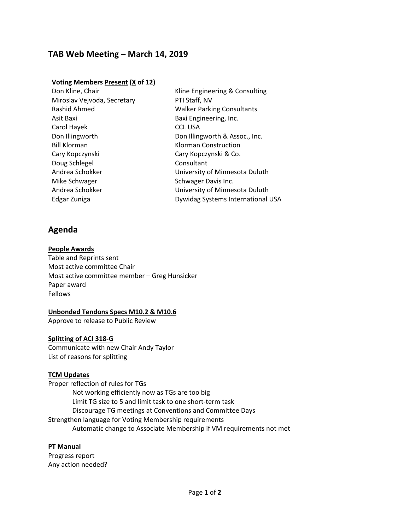# **TAB Web Meeting – March 14, 2019**

### **Voting Members Present (X of 12)**

| Kline Engineering & Consulting    |
|-----------------------------------|
| PTI Staff, NV                     |
| <b>Walker Parking Consultants</b> |
| Baxi Engineering, Inc.            |
| <b>CCL USA</b>                    |
| Don Illingworth & Assoc., Inc.    |
| Klorman Construction              |
| Cary Kopczynski & Co.             |
| Consultant                        |
| University of Minnesota Duluth    |
| Schwager Davis Inc.               |
| University of Minnesota Duluth    |
| Dywidag Systems International USA |
|                                   |

## **Agenda**

#### **People Awards**

Table and Reprints sent Most active committee Chair Most active committee member – Greg Hunsicker Paper award Fellows

### **Unbonded Tendons Specs M10.2 & M10.6**

Approve to release to Public Review

### **Splitting of ACI 318‐G**

Communicate with new Chair Andy Taylor List of reasons for splitting

### **TCM Updates**

Proper reflection of rules for TGs Not working efficiently now as TGs are too big Limit TG size to 5 and limit task to one short‐term task Discourage TG meetings at Conventions and Committee Days Strengthen language for Voting Membership requirements Automatic change to Associate Membership if VM requirements not met

### **PT Manual**

Progress report Any action needed?